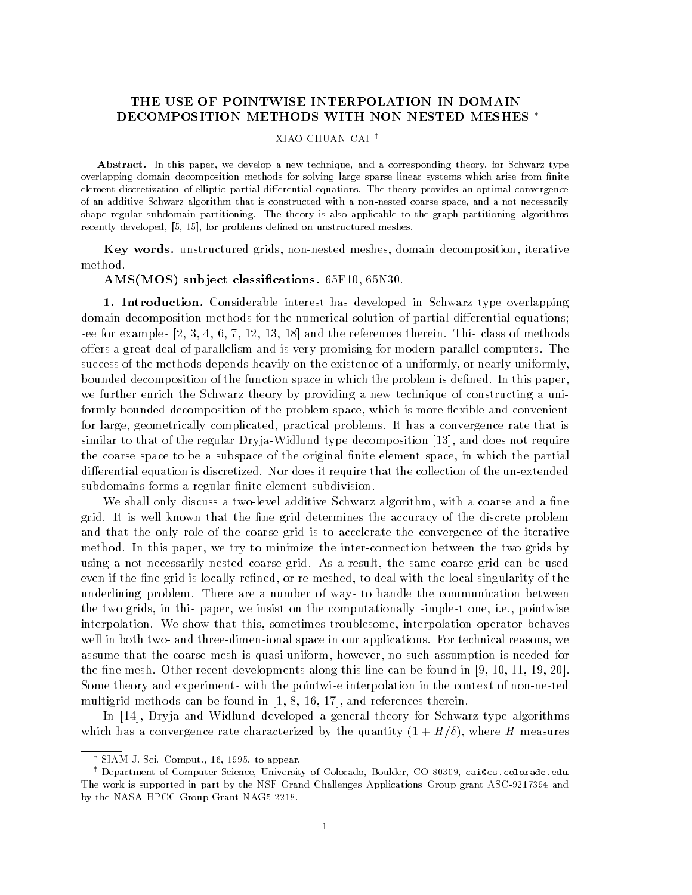## THE USE OF POINTWISE INTERPOLATION IN DOMAIN DECOMPOSITION METHODS WITH NON-NESTED MESHES \*

## XIAO-CHUAN CAI<sup>t</sup>

Abstract. In this paper, we develop a new technique, and a corresponding theory, for Schwarz type overlapping domain decomposition methods for solving large sparse linear systems which arise from -nite element discretization of elliptic partial differential equations. The theory provides an optimal convergence of an additive Schwarz algorithm that is constructed with a nonnested coarse space and a not necessarily shape regular subdomain partitioning The theory is also applicable to the graph partitioning algorithms recently developed for problems de-ned on unstructured meshes

Key words. unstructured grids, non-nested meshes, domain decomposition, iterative method.

AMS-MOS sub ject classications F N-

1. Introduction. Considerable interest has developed in Schwarz type overlapping domain decomposition methods for the numerical solution of partial differential equations; see for examples and the references the reference there is a method of methods of methods of methods of method oers a great deal of parallelism and is very promising for modern parallel computers- The success of the methods depends heavily on the existence of a uniformly, or nearly uniformly, bounded decomposition of the function space in which the problem is dened- In this paper we further enrich the Schwarz theory by providing a new technique of constructing a uni formly bounded decomposition of the problem space, which is more flexible and convenient for large geometrically complicated practical problems- It has a convergence rate that is similar to that of the regular DryjaWidlund type decomposition and does not require the coarse space to be a subspace of the original finite element space, in which the partial addition is discretized that the collection is discretized-that the collection of the unextended the unextended subdomains forms a regular finite element subdivision.

We shall only discuss a two-level additive Schwarz algorithm, with a coarse and a fine grid- is a well-mine that the new grid determines the discrete problem problem the accuracy problem of the discrete and that the only role of the coarse grid is to accelerate the convergence of the iterative method-this paper we try to this paper we this paper we then the two theories the two grids by two grids by two using a rested coarse grid-coarse coarse grid-coarse grid-coarse coarse grid-can be used and even if the fine grid is locally refined, or re-meshed, to deal with the local singularity of the underlining problem- There are a number of ways to handle the communication between the two grids in this paper will be comed the computation of the computation of  $\alpha$ interpolation- We show that this sometimes troublesome interpolation operator behaves well in two and two and two and two and two and two and two and two applicationsassume that the coarse mesh is quasi-uniform, however, no such assumption is needed for the ne mesh- Other recent developments along this line can be found in -Some theory and experiments with the pointwise interpolation in the context of non-nested multigrid methods can be found in 
 and references therein-

In  Dryja and Widlund developed a general theory for Schwarz type algorithms which has a convergence rate characterized by the quantity  $(1 + H/\delta)$ , where H measures

SIAM J. Sci. Comput., 16, 1995, to appear.

<sup>&#</sup>x27; Department of Computer Science, University of Colorado, Boulder, CO 80309, carCcs colorado edu. ' The work is supported in part by the NSF Grand Challenges Applications Group grant ASC and by the NASA HPCC Group Grant NAG5-2218.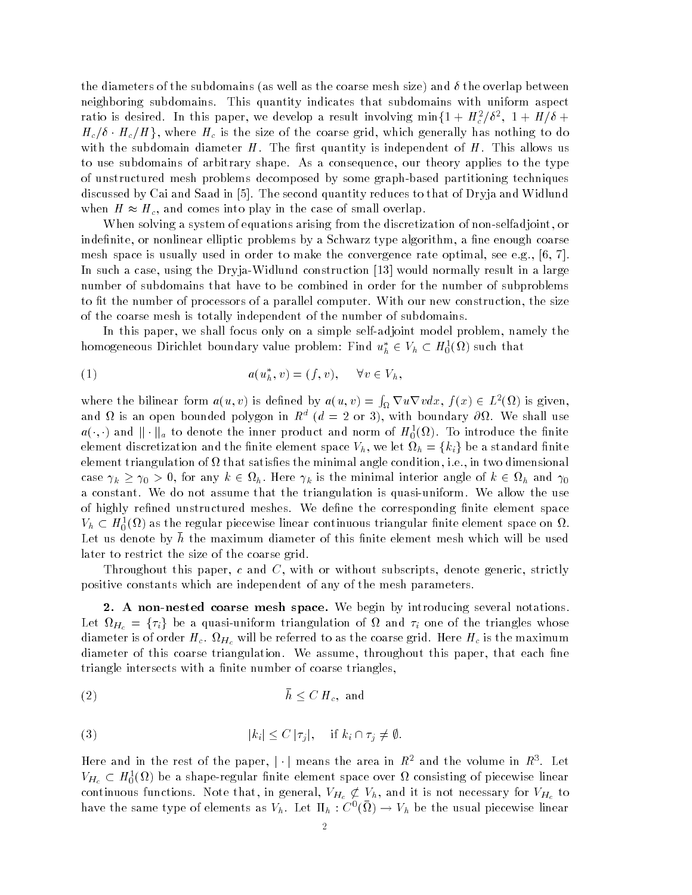the diameters of the subdomains (as well as the coarse mesh size) and  $\delta$  the overlap between neighboring subdomains- This quantity indicates that subdomains with uniform aspect ratio is desired. In this paper, we develop a result involving min $\{1+H_c^2/\delta^2, 1+H/\delta+\}$  $H_c/\delta \cdot H_c/H$ , where  $H_c$  is the size of the coarse grid, which generally has nothing to do with the subdomain diameter H- subdomain  $\eta$  diameter is independent of H- allows used the Hto use subdomains of arbitrary shape-politicary shape-up the theory applies to the type of unstructured mesh problems decomposed by some graphbased partitioning techniques discussed by Cai and Saad in - The second quantity reduces to that of Dryja and Widlund when  $H \approx H_c$ , and comes into play in the case of small overlap.

When solving a system of equations arising from the discretization of non-selfadjoint, or indefinite, or nonlinear elliptic problems by a Schwarz type algorithm, a fine enough coarse mesh space is usually used in order to make the convergence rate optimal see e-g- 
-In such a case using the DryjaWidlund construction would normally result in a large number of subdomains that have to be combined in order for the number of subproblems to the number of a processors of a parallel computer-size and a parallel computer-size  $\cdots$ of the coarse mesh is totally independent of the number of subdomains-

In this paper, we shall focus only on a simple self-adjoint model problem, namely the homogeneous Dirichlet boundary value problem: Find  $u_h^*\in V_h\subset H^1_0(\Omega)$  such that

$$
(1) \t a(u_h^*, v) = (f, v), \quad \forall v \in V_h,
$$

where the bilinear form  $a(u, v)$  is defined by  $a(u, v) = \int_{\Omega} \nabla u \nabla v dx$ ,  $f(x) \in L^2(\Omega)$  is given, and  $\alpha$  is an open bounded polygon in  $K^+(a) = Z$  or  $\beta$ ), with boundary  $\partial M$ . We shall use  $a(\cdot,\cdot)$  and  $\|\cdot\|_a$  to denote the inner product and norm of  $H^1_0(\Omega)$ . To introduce the finite element discretization and the finite element space  $V_h$ , we let  $\Omega_h = \{k_i\}$  be a standard finite element triangulation of the minimal and minimal and minimal angles the minimal and condition in the minimal case  $\gamma_k \geq \gamma_0 > 0$ , for any  $k \in \Omega_h$ . Here  $\gamma_k$  is the minimal interior angle of  $k \in \Omega_h$  and  $\gamma_0$ a constant-that the the the the the the triangulation is quasi-the the use  $\cdots$  the use  $\cdots$ of highly rened unstructured meshes- We dene the corresponding nite element space  $V_h\subset H^1_0(\Omega)$  as the regular piecewise linear continuous triangular finite element space on  $\Omega$  . Let us denote by  $h$  the maximum diameter of this finite element mesh which will be used later to restrict the size of the coarse grid-

Throughout this paper, c and C, with or without subscripts, denote generic, strictly positive constants which are independent of any of the mesh parameters-

2. A non-nested coarse mesh space. We begin by introducing several notations. Let  $\Omega_{H_c} = \{\tau_i\}$  be a quasi-uniform triangulation of  $\Omega$  and  $\tau_i$  one of the triangles whose diameter is of order Here Here  $\Theta$  as the maximum  $\Theta$ diameter of the coarse triangulation-throughout the second throughout the second paper that the second the coa triangle intersects with a finite number of coarse triangles.

$$
(2) \t\t\t\t h \leq C H_c, \text{ and}
$$

(3) 
$$
|k_i| \leq C |\tau_j|, \quad \text{if } k_i \cap \tau_j \neq \emptyset.
$$

Here and in the rest of the paper,  $|\cdot|$  means the area in  $R^2$  and the volume in  $R^3$ . Let  $V_{H_c}\subset H^1_0(\Omega)$  be a shape-regular finite element space over  $\Omega$  consisting of piecewise linear continuous functions. Note that, in general,  $V_{H_c} \not\subset V_h$ , and it is not necessary for  $V_{H_c}$  to have the same type of elements as  $V_h$ . Let  $\Pi_h : C^0(\Omega) \to V_h$  be the usual piecewise linear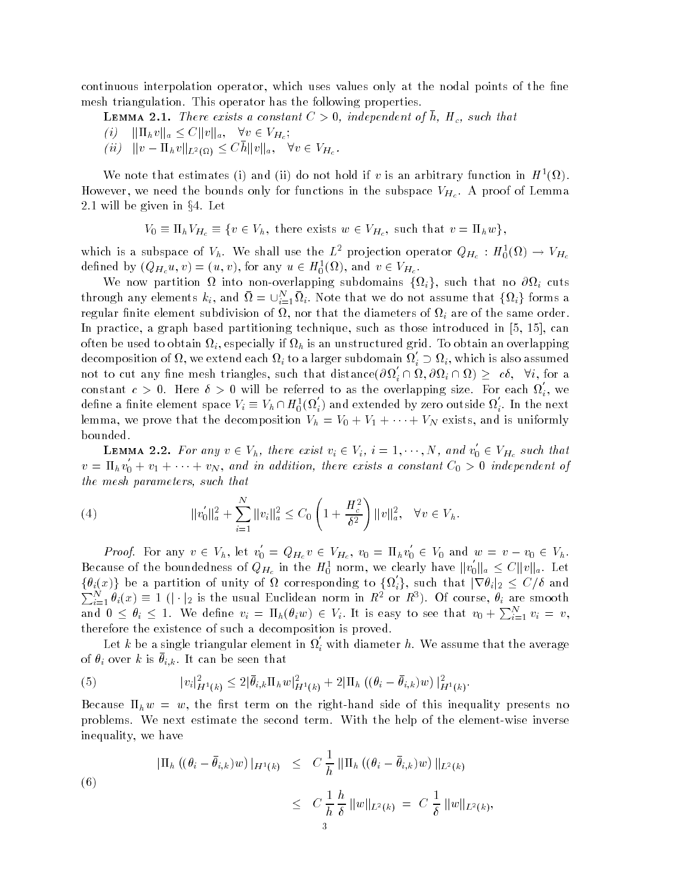continuous interpolation operator, which uses values only at the nodal points of the fine mesh triangulation-the following properties-the following properties-

**LEMMA 2.1.** There exists a constant  $\cup > 0$ , independent of h,  $H_c$ , such that

$$
(i) \quad ||\Pi_h v||_a \le C ||v||_a, \quad \forall v \in V_{H_c};
$$

 $\langle ii\rangle$   $||v - \Pi_h v||_{L^2(\Omega)} \leq Ch||v||_a, \quad \forall v \in V_{H_c}.$ 

We note that estimates (1) and (11) do not hold if v is an arbitrary function in  $H^-(M)$ . Here we need the bounds only for functions in the subspace  $\mathbf{H}$  and  $\mathbf{H}$  and  $\mathbf{H}$  $2.1$  will be given in  $\S 4$ . Let example in Sources of  $\sum_{n=1}^{\infty}$ <br>=  $\Pi_h V_{H_c} \equiv \{v \in V\}$ 

$$
V_0 \equiv \Pi_h V_{H_c} \equiv \{ v \in V_h, \text{ there exists } w \in V_{H_c}, \text{ such that } v = \Pi_h w \},
$$

which is a subspace of  $V_h.$  We shall use the  $L^2$  projection operator  $Q_{H_c}: H_0^1(\Omega) \rightarrow V_{H_c}$ defined by  $(Q_{H_c}u, v) = (u, v)$ , for any  $u \in H_0^1(\Omega)$ , and  $v \in V_{H_c}$ .

We now partition  $\Omega$  into non-overlapping subdomains  $\{\Omega_i\}$ , such that no  $\partial\Omega_i$  cuts through any elements  $k_i$ , and  $\Omega = \bigcup_{i=1}^N \Omega_i$ . Note that we do not assume that  $\{\Omega_i\}$  forms a regular finite element subdivision of  $\Omega$ , nor that the diameters of  $\Omega_i$  are of the same order. In practice a graph based partitioning technique such as those introduced in can often be used to obtain it has an unstructured grid-distribution in the contract of  $\Gamma$  if  $\Gamma$  is an overlapping  $\Gamma$ decomposition of  $\Omega,$  we extend each  $\Omega_i$  to a larger subdomain  $\Omega_i'\supset\Omega_i,$  which is also assumed not to cut any fine mesh triangles, such that distance $(\partial\Omega_i'\cap\Omega,\partial\Omega_i\cap\Omega)\geq -c\delta,\;\;\forall i,$  for a constant  $c > 0$ . Here  $\delta > 0$  will be referred to as the overlapping size. For each  $\Omega_i$ , we define a finite element space  $V_i\equiv V_h\cap H^1_0(\Omega_i')$  and extended by zero outside  $\Omega_i'.$  In the next lemma, we prove that the decomposition  $V_h = V_0 + V_1 + \cdots + V_N$  exists, and is uniformly bounded.

**LEMMA 2.2.** For any  $v \in V_h$ , there exist  $v_i \in V_i$ ,  $i = 1, \dots, N$ , and  $v_0 \in$  $v_0 \in V_{H_c}$  such that  $v = \Pi_h v_0 + v_1 + \cdots + v_N$ , and in addition, there exists a constant  $C_0 > 0$  independent of the mesh parameters, such that

(4) 
$$
\|v_0'\|_a^2 + \sum_{i=1}^N \|v_i\|_a^2 \leq C_0 \left(1 + \frac{H_c^2}{\delta^2}\right) \|v\|_a^2, \quad \forall v \in V_h.
$$

*Proof.* For any  $v \in V_h$ , let  $v_0 = Q_{H_c} v \in V_{H_c}$ ,  $v_0 = \Pi_h v_0 \in V_0$  and  $w = v - v_0 \in V_h$ . --Because of the boundedness of  $Q_{H_c}$  in the  $H_0^1$  norm, we clearly have  $\|v_0\|_a \leq C \|v\|_a$ . Let  $\{\theta_i(x)\}$  be a partition of unity of  $\Omega$  corresponding to  $\{\Omega'_i\}$ , such that  $|\nabla \theta_i|_2 \le C/\delta$  and  $\sum_{i=1}^N \theta_i(x) \equiv 1$  ( $|\cdot|_2$  is the usual Euclidean norm in  $R^2$  or  $R^3$ ). Of course,  $\theta_i$  are smooth and  $0 \le \theta_i \le 1$ . We define  $v_i = \Pi_h(\theta_i w) \in V_i$ . It is easy to see that  $v_0 + \sum_{i=1}^N v_i = v$ , therefore the existence of such a decomposition is proved-

Let k be a single triangular element in  $\Omega_i$  with diameter h. We assume that the average of  $v_i$  over  $\kappa$  is  $v_{i,k}$ . It can be seen that

(5) 
$$
|v_i|_{H^1(k)}^2 \leq 2|\bar{\theta}_{i,k}\Pi_h w|_{H^1(k)}^2 + 2|\Pi_h((\theta_i - \bar{\theta}_{i,k})w)|_{H^1(k)}^2.
$$

 $\mathbf{b}$  the rst term on the rst term on the righthand side of this inequality presents no this inequality presents no this inequality presents no the right presents no the right presents no the right presents no the righ problems-to the model the second term the second terms in the model term inverse inverse in the element inequality, we have

(6)  

$$
|\Pi_h ((\theta_i - \bar{\theta}_{i,k})w)|_{H^1(k)} \leq C \frac{1}{h} \|\Pi_h ((\theta_i - \bar{\theta}_{i,k})w)\|_{L^2(k)}
$$

$$
\leq C \frac{1}{h} \frac{h}{\delta} \|w\|_{L^2(k)} = C \frac{1}{\delta} \|w\|_{L^2(k)},
$$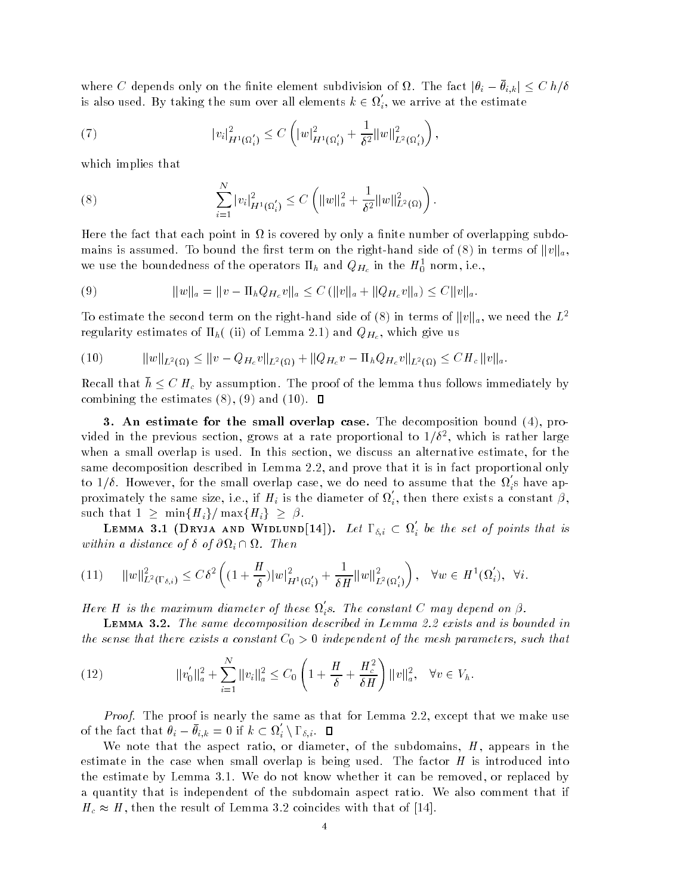where C depends only on the finite element subdivision of  $\Omega$ . The fact  $|\theta_i - \bar{\theta}_{i,k}| \leq C\ h/\delta$ is also used. By taking the sum over all elements  $k \in \Omega_i,$  we arrive at the estimate

(7) 
$$
|v_i|_{H^1(\Omega_i')}^2 \leq C \left( |w|_{H^1(\Omega_i')}^2 + \frac{1}{\delta^2} ||w||_{L^2(\Omega_i')}^2 \right),
$$

which implies that

(8) 
$$
\sum_{i=1}^N |v_i|^2_{H^1(\Omega_i')} \leq C \left( \|w\|_a^2 + \frac{1}{\delta^2} \|w\|_{L^2(\Omega)}^2 \right).
$$

Here the fact that each point in  $\Omega$  is covered by only a finite number of overlapping subdomains is assumed. To bound the first term on the right-hand side of (8) in terms of  $||v||_a$ , we use the boundedness of the operators  $\mathbf{n}_h$  and  $Q_{H_c}$  in the  $H_0^+$  norm, i.e.,

(9) 
$$
||w||_a = ||v - \Pi_h Q_{H_c} v||_a \leq C (||v||_a + ||Q_{H_c} v||_a) \leq C ||v||_a.
$$

To estimate the second term on the right-hand side of (8) in terms of  $||v||_a$ , we need the  $L^2$ regularity estimates of  $h \setminus \bigvee$  is the virtual virtual virtual virtual virtual virtual virtual virtual virtual virtual virtual virtual virtual virtual virtual virtual virtual virtual virtual virtual virtual virtual vir tes of  $\Pi_h$ (*(ii)* of Lemn<br>  $\varphi(\Omega) \leq ||v - Q_{H_c}v||_{L^2(\Omega)}$ 

$$
(10) \t\t\t ||w||_{L^{2}(\Omega)} \leq ||v - Q_{H_{c}}v||_{L^{2}(\Omega)} + ||Q_{H_{c}}v - \Pi_{h}Q_{H_{c}}v||_{L^{2}(\Omega)} \leq CH_{c}||v||_{a}.
$$

Recall that  $h \leq C H_c$  by assumption. The proof of the lemma thus follows immediately by combine the estimate of the estimate of the estimate of the estimate of the estimate of the estimate of the es

3. An estimate for the small overlap case. The decomposition bound  $(4)$ , provided in the previous section, grows at a rate proportional to  $1/\ell^-$ , which is rather large when a small overlap is used- in this section we discuss and alternative estimate for the section we have same decomposition described in Lemma - and prove that it is in fact proportional only to  $1/\delta$ . However, for the small overlap case, we do need to assume that the  $\Omega_i$ s have approximately the same size, i.e., if  $H_i$  is the diameter of  $\Omega_i$ , then there exists a constant  $\beta$ , to  $1/\delta$ . However, for the small overlap case<br>proximately the same size, i.e., if  $H_i$  is the<br>such that  $1 \ge \min\{H_i\}/\max\{H_i\} \ge \beta$ .

LEMMA 3.1 (DRYJA AND WIDLUND[14]). Let  $\Gamma_{\delta,i}\subset \Omega_i'$  be the set of points that is within a distance of  $\delta$  of  $\partial\Omega_i \cap \Omega$ . Then

$$
(11) \qquad \|w\|_{L^{2}(\Gamma_{\delta,i})}^{2} \leq C\delta^{2} \left( (1 + \frac{H}{\delta})|w|_{H^{1}(\Omega_{i}')}^{2} + \frac{1}{\delta H} \|w\|_{L^{2}(\Omega_{i}')}}^{2} \right), \quad \forall w \in H^{1}(\Omega_{i}'), \quad \forall i.
$$

Here H is the maximum diameter of these  $\Omega_i$ s. The constant C may depend on  $\beta$ .

LEMMA 3.2. The same decomposition described in Lemma 2.2 exists and is bounded in the sense that there exists a constant  $C_0 > 0$  thae pendent of the mesh parameters, such that

(12) 
$$
\|v_0'\|_a^2 + \sum_{i=1}^N \|v_i\|_a^2 \leq C_0 \left(1 + \frac{H}{\delta} + \frac{H_c^2}{\delta H}\right) \|v\|_a^2, \quad \forall v \in V_h.
$$

Proof- The proof is nearly the same as that for Lemma - except that we make use of the fact that  $\theta_i - \theta_{i,k} = 0$  if  $k \subset \Omega_i' \setminus \Gamma_{\delta,i}$ . [

We note that the aspect ratio, or diameter, of the subdomains,  $H$ , appears in the estimate in the case when small overlap is being used- The factor H is introduced into the estimate by Lemma -- We do not know whether it can be removed or replaced by a quantity that is independent of the subdomain aspect of the subdomain aspect ratio- $H_c \approx H$ , then the result of Lemma 3.2 coincides with that of [14].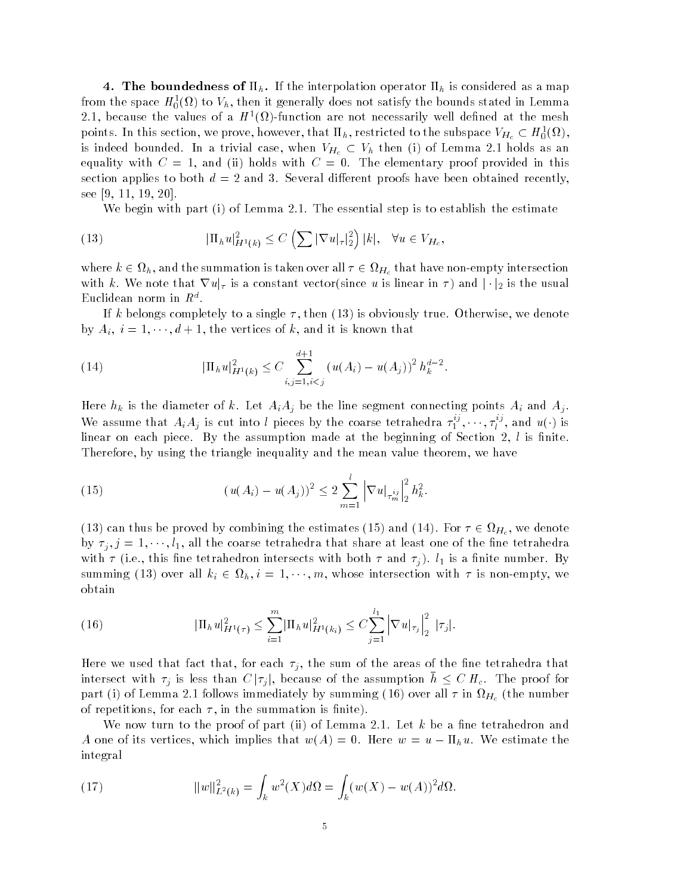4. The boundedness of  $\Pi_h$ . If the interpolation operator  $\Pi_h$  is considered as a map from the space  $H_0^{\sigma}(\nu)$  to  $v_h$ , then it generally does not satisfy the bounds stated in Lemma 2.1, because the values of a *H* (*W*)-function are not necessarily well defined at the mesh points. In this section, we prove, however, that  $\Pi_h$ , restricted to the subspace  $V_{H_c} \subset H_0^1(\Omega)$ , is indeed bounded. In a trivial case, when  $V_{H_c}\subset V_h$  then (i) of Lemma 2.1 holds as an equality with C and it holds with C - Of the elementary provided in this component in the component of  $\mathcal{S}$ section applies to both d and - Several dierent proofs have been obtained recently see -

with a second part is to estimate a step is to estimate the estimate the estimate  $\alpha$ 

(13) 
$$
|\Pi_h u|_{H^1(k)}^2 \leq C \left( \sum |\nabla u|_{\tau}|_2^2 \right) |k|, \quad \forall u \in V_{H_c},
$$

where  $k \in \Omega_h,$  and the summation is taken over all  $\tau \in \Omega_{H_c}$  that have non-empty intersection with k. We note that  $\nabla u|_{\tau}$  is a constant vector(since u is linear in  $\tau$ ) and  $|\cdot|_2$  is the usual  $E$ uchdean norm in  $R^{\pm}$ .

If k belongs completely to a single then is obviously true- Otherwise we denote by  $A_i$ ,  $i = 1, \dots, d + 1$ , the vertices of k, and it is known that

(14) 
$$
|\Pi_h u|_{H^1(k)}^2 \leq C \sum_{i,j=1,i
$$

Here hk is the diameter of k- Let AiAj be the line segment connecting points Ai and Aj -We assume that  $A_iA_j$  is cut into l pieces by the coarse tetrahedra  $\tau_1^{ij}, \dots, \tau_l^{ij}$ , and  $u(\cdot)$  is linear on each piece- By the assumption made at the beginning of Section l is nite-Therefore, by using the triangle inequality and the mean value theorem, we have

(15) 
$$
(u(A_i) - u(A_j))^2 \leq 2 \sum_{m=1}^l |\nabla u|_{\tau_m^{ij}}|_2^2 h_k^2.
$$

(13) can thus be proved by combining the estimates (15) and (14). For  $\tau \in \Omega_{H_c}$ , we denote by  $\tau_i, j = 1, \dots, l_1$ , all the coarse tetrahedra that share at least one of the fine tetrahedra with a first measurement intersection intersects with a new contract with  $\mathcal{L}^1$  is a nite number of  $\mathcal{L}^1$ summing (13) over all  $k_i \in \Omega_h$ ,  $i = 1, \dots, m$ , whose intersection with  $\tau$  is non-empty, we obtain

(16) 
$$
|\Pi_h u|_{H^1(\tau)}^2 \leq \sum_{i=1}^m |\Pi_h u|_{H^1(k_i)}^2 \leq C \sum_{j=1}^{l_1} |\nabla u|_{\tau_j}\Big|_2^2 |\tau_j|.
$$

Here we used that fact that, for each  $\tau_j$ , the sum of the areas of the fine tetrahedra that intersect with  $\tau_i$  is less than  $C |\tau_i|$ , because of the assumption  $h \leq C H_c$ . The proof for  $\Gamma$  are independent of Lemma and Lemma - follows in He the number of  $\Gamma$  in He  $\Gamma$  in  $H_{\mathcal{C}}$  (respectively). of repetitions, for each  $\tau$ , in the summation is finite).

we now turn to the part in the part in the part in the part in the part in the part in the part in the part in A one of its vertices, which implies that  $w(A) = 0$ . Here  $w = u - \Pi_h u$ . We estimate the integral

(17) 
$$
||w||_{L^{2}(k)}^{2} = \int_{k} w^{2}(X)d\Omega = \int_{k}(w(X) - w(A))^{2}d\Omega.
$$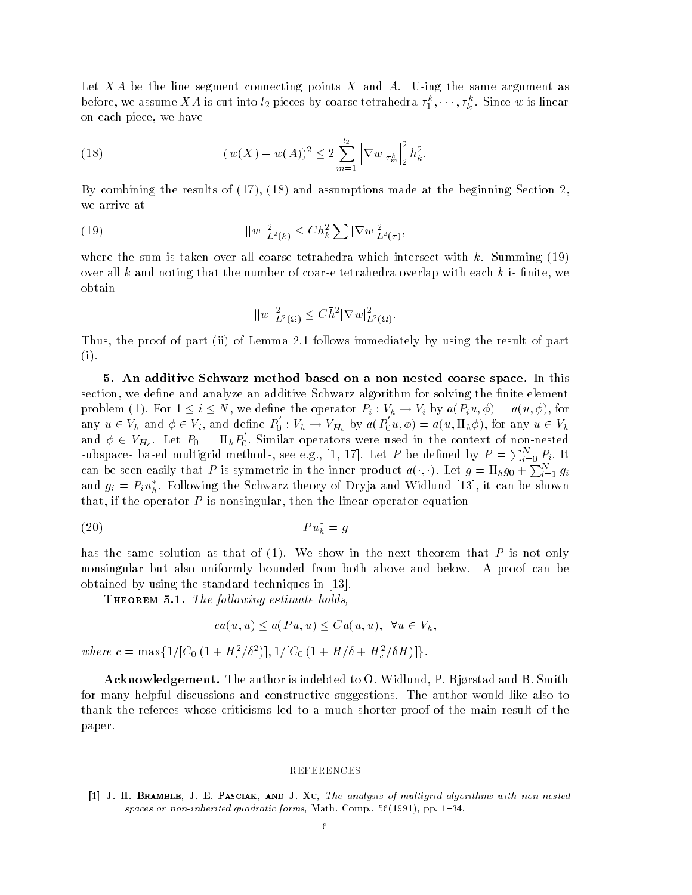$\mathcal{L}$ before, we assume  $XA$  is cut into  $l_2$  pieces by coarse tetrahedra  $\tau^k_1,\cdots,\tau^k_{l_2}.$  Since  $w$  is linear on each piece, we have

(18) 
$$
(w(X) - w(A))^2 \le 2 \sum_{m=1}^{l_2} |\nabla w|_{\tau_m^k}|_2^2 h_k^2.
$$

By combining the results of  $(17)$ ,  $(18)$  and assumptions made at the beginning Section 2, we arrive at

(19) 
$$
||w||_{L^2(k)}^2 \leq Ch_k^2 \sum |\nabla w|_{L^2(\tau)}^2,
$$

where the sum is taken over all coarse tetrahedra which intersect with k-k  $\mathcal{S}$ over all k and noting that the number of coarse tetrahedra overlap with each k is finite, we obtain

$$
||w||_{L^2(\Omega)}^2 \leq C\overline{h}^2 |\nabla w|_{L^2(\Omega)}^2.
$$

Thus the proof of part ii of Lemma - follows immediately by using the result of part  $(i).$ 

5. An additive Schwarz method based on a non-nested coarse space. In this section, we define and analyze an additive Schwarz algorithm for solving the finite element problem (1). For  $1 \le i \le N$ , we define the operator  $P_i : V_h \to V_i$  by  $a(P_i u, \phi) = a(u, \phi)$ , for any  $u \in V_h$  and  $\phi \in V_i$ , and define  $P_0 : V_i$  $V_0: V_h \to V_{H_c}$  by  $a(P_0u, \phi)$  $u_0(u,\phi) = a(u,\Pi_h\phi)$ , for any  $u \in V_h$ and  $\phi \in V_{H_c}$ . Let  $P_0 = \Pi_h P_0$ . Similar operators were used in the context of non-nested subspaces based multigrid methods, see e.g., [1, 17]. Let P be defined by  $P = \sum_{i=0}^{N} P_i$ . It can be seen easily that P is symmetric in the inner product  $a(\cdot, \cdot)$ . Let  $g = \Pi_h g_0 + \sum_{i=1}^N g_i$ and  $g_i = F_i u_h$ . Following the Schwarz theory of Dryja and Widlund [15], it can be shown that, if the operator  $P$  is nonsingular, then the linear operator equation

$$
(20) \t\t\t P u_h^* = g
$$

has the same solution as that of - We show in the next theorem that P is not only nonsingular but also uniformly bounded from both above and below- A proof can be obtained by using the standard techniques in -

 $\blacksquare$  The following estimate holds

$$
ca(u, u) \le a(Pu, u) \le Ca(u, u), \ \ \forall u \in V_h,
$$

where  $c = \max\{1/[C_0(1 + H_c^2/\delta^2)], 1/[C_0(1 + H/\delta + H_c^2/\delta H)]\}.$ 

Acknowledgement The author is indebted to O- Widlund P- Bjrstad and B- Smith for many helpful discussions and constructive suggestions- The author would like also to thank the referees whose criticisms led to a much shorter proof of the main result of the paper-

## REFERENCES

[1] J. H. BRAMBLE, J. E. PASCIAK, AND J. XU, The analysis of multigrid algorithms with non-nested spaces of non-induced quadratic forms Math Comp and the Comp of the Comp of the Comp of the Comp of the Comp of the Comp of the Comp of the Comp of the Comp of the Comp of the Comp of the Comp of the Comp of the Comp of th